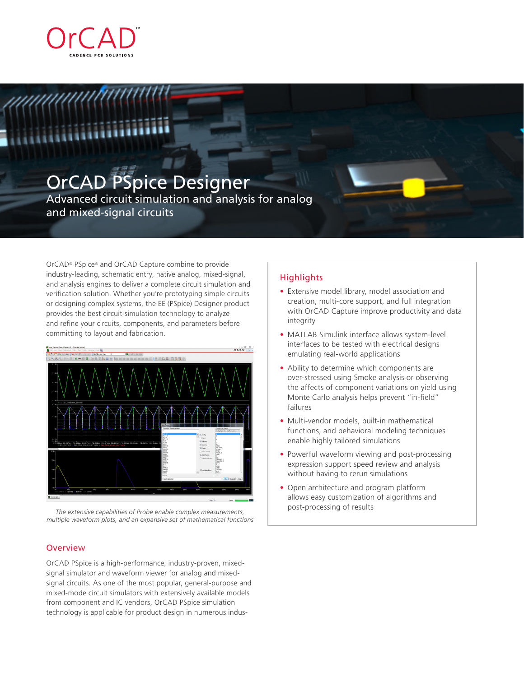

# OrCAD PSpice Designer

Advanced circuit simulation and analysis for analog and mixed-signal circuits

OrCAD® PSpice® and OrCAD Capture combine to provide industry-leading, schematic entry, native analog, mixed-signal, and analysis engines to deliver a complete circuit simulation and verification solution. Whether you're prototyping simple circuits or designing complex systems, the EE (PSpice) Designer product provides the best circuit-simulation technology to analyze and refine your circuits, components, and parameters before committing to layout and fabrication.



post-processing of results *The extensive capabilities of Probe enable complex measurements, multiple waveform plots, and an expansive set of mathematical functions*

# **Overview**

OrCAD PSpice is a high-performance, industry-proven, mixedsignal simulator and waveform viewer for analog and mixedsignal circuits. As one of the most popular, general-purpose and mixed-mode circuit simulators with extensively available models from component and IC vendors, OrCAD PSpice simulation technology is applicable for product design in numerous indus-

# **Highlights**

- Extensive model library, model association and creation, multi-core support, and full integration with OrCAD Capture improve productivity and data integrity
- MATLAB Simulink interface allows system-level interfaces to be tested with electrical designs emulating real-world applications
- Ability to determine which components are over-stressed using Smoke analysis or observing the affects of component variations on yield using Monte Carlo analysis helps prevent "in-field" failures
- Multi-vendor models, built-in mathematical functions, and behavioral modeling techniques enable highly tailored simulations
- Powerful waveform viewing and post-processing expression support speed review and analysis without having to rerun simulations
- Open architecture and program platform allows easy customization of algorithms and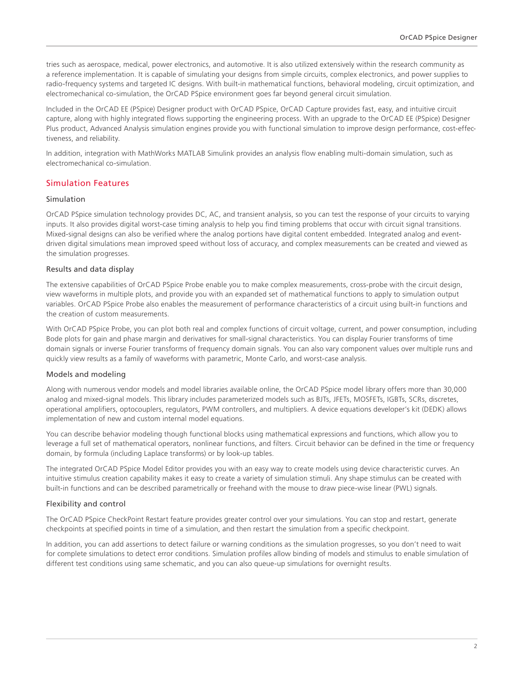tries such as aerospace, medical, power electronics, and automotive. It is also utilized extensively within the research community as a reference implementation. It is capable of simulating your designs from simple circuits, complex electronics, and power supplies to radio-frequency systems and targeted IC designs. With built-in mathematical functions, behavioral modeling, circuit optimization, and electromechanical co-simulation, the OrCAD PSpice environment goes far beyond general circuit simulation.

Included in the OrCAD EE (PSpice) Designer product with OrCAD PSpice, OrCAD Capture provides fast, easy, and intuitive circuit capture, along with highly integrated flows supporting the engineering process. With an upgrade to the OrCAD EE (PSpice) Designer Plus product, Advanced Analysis simulation engines provide you with functional simulation to improve design performance, cost-effectiveness, and reliability.

In addition, integration with MathWorks MATLAB Simulink provides an analysis flow enabling multi-domain simulation, such as electromechanical co-simulation.

# Simulation Features

#### Simulation

OrCAD PSpice simulation technology provides DC, AC, and transient analysis, so you can test the response of your circuits to varying inputs. It also provides digital worst-case timing analysis to help you find timing problems that occur with circuit signal transitions. Mixed-signal designs can also be verified where the analog portions have digital content embedded. Integrated analog and eventdriven digital simulations mean improved speed without loss of accuracy, and complex measurements can be created and viewed as the simulation progresses.

#### Results and data display

The extensive capabilities of OrCAD PSpice Probe enable you to make complex measurements, cross-probe with the circuit design, view waveforms in multiple plots, and provide you with an expanded set of mathematical functions to apply to simulation output variables. OrCAD PSpice Probe also enables the measurement of performance characteristics of a circuit using built-in functions and the creation of custom measurements.

With OrCAD PSpice Probe, you can plot both real and complex functions of circuit voltage, current, and power consumption, including Bode plots for gain and phase margin and derivatives for small-signal characteristics. You can display Fourier transforms of time domain signals or inverse Fourier transforms of frequency domain signals. You can also vary component values over multiple runs and quickly view results as a family of waveforms with parametric, Monte Carlo, and worst-case analysis.

## Models and modeling

Along with numerous vendor models and model libraries available online, the OrCAD PSpice model library offers more than 30,000 analog and mixed-signal models. This library includes parameterized models such as BJTs, JFETs, MOSFETs, IGBTs, SCRs, discretes, operational amplifiers, optocouplers, regulators, PWM controllers, and multipliers. A device equations developer's kit (DEDK) allows implementation of new and custom internal model equations.

You can describe behavior modeling though functional blocks using mathematical expressions and functions, which allow you to leverage a full set of mathematical operators, nonlinear functions, and filters. Circuit behavior can be defined in the time or frequency domain, by formula (including Laplace transforms) or by look-up tables.

The integrated OrCAD PSpice Model Editor provides you with an easy way to create models using device characteristic curves. An intuitive stimulus creation capability makes it easy to create a variety of simulation stimuli. Any shape stimulus can be created with built-in functions and can be described parametrically or freehand with the mouse to draw piece-wise linear (PWL) signals.

## Flexibility and control

The OrCAD PSpice CheckPoint Restart feature provides greater control over your simulations. You can stop and restart, generate checkpoints at specified points in time of a simulation, and then restart the simulation from a specific checkpoint.

In addition, you can add assertions to detect failure or warning conditions as the simulation progresses, so you don't need to wait for complete simulations to detect error conditions. Simulation profiles allow binding of models and stimulus to enable simulation of different test conditions using same schematic, and you can also queue-up simulations for overnight results.